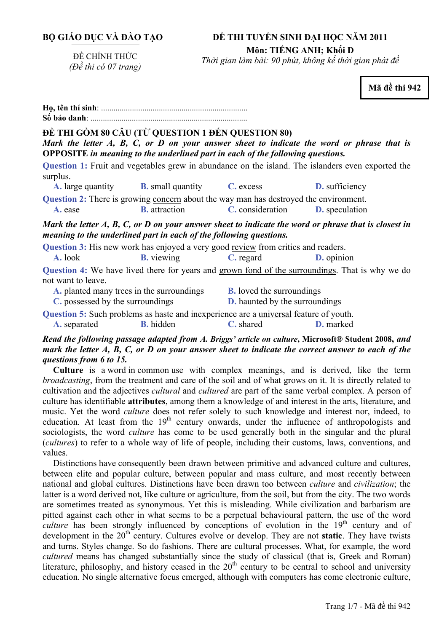#### **BỘ GIÁO DỤC VÀ ĐÀO TẠO**

#### **ĐỀ THI TUYỂN SINH ĐẠI HỌC NĂM 2011**

**Môn: TIẾNG ANH; Khối D** 

ĐỀ CHÍNH THỨC *(Đề thi có 07 trang)* 

*Thời gian làm bài: 90 phút, không kể thời gian phát đề*

**Mã đề thi 942** 

**<sup>H</sup>ọ, tên thí sinh**: .......................................................................... **Số báo danh**: ............................................................................

# **ĐỀ THI GỒM 80 CÂU (TỪ QUESTION 1 ĐẾN QUESTION 80)**

*Mark the letter A, B, C, or D on your answer sheet to indicate the word or phrase that is*  **OPPOSITE** *in meaning to the underlined part in each of the following questions.* 

**Question 1:** Fruit and vegetables grew in abundance on the island. The islanders even exported the surplus.

| <b>A.</b> large quantity | <b>B.</b> small quantity                                                                     | C. excess        | <b>D.</b> sufficiency |
|--------------------------|----------------------------------------------------------------------------------------------|------------------|-----------------------|
|                          | <b>Question 2:</b> There is growing concern about the way man has destroyed the environment. |                  |                       |
| A. ease                  | <b>B.</b> attraction                                                                         | C. consideration | <b>D.</b> speculation |

*Mark the letter A, B, C, or D on your answer sheet to indicate the word or phrase that is closest in meaning to the underlined part in each of the following questions.* 

**Question 3:** His new work has enjoyed a very good review from critics and readers. **A.** look **B.** viewing **C.** regard **D.** opinion **Question 4:** We have lived there for years and grown fond of the surroundings. That is why we do not want to leave.

| A. planted many trees in the surroundings                                                           | <b>B.</b> loved the surroundings      |
|-----------------------------------------------------------------------------------------------------|---------------------------------------|
| C. possessed by the surroundings                                                                    | <b>D.</b> haunted by the surroundings |
| <b>Question 5:</b> Such problems as haste and inexperience are a <u>universal</u> feature of youth. |                                       |

**A.** separated **B.** hidden **C.** shared **D.** marked

## *Read the following passage adapted from A. Briggs' article on culture***, Microsoft® Student 2008,** *and mark the letter A, B, C, or D on your answer sheet to indicate the correct answer to each of the questions from 6 to 15.*

**Culture** is a word in common use with complex meanings, and is derived, like the term *broadcasting*, from the treatment and care of the soil and of what grows on it. It is directly related to cultivation and the adjectives *cultural* and *cultured* are part of the same verbal complex. A person of culture has identifiable **attributes**, among them a knowledge of and interest in the arts, literature, and music. Yet the word *culture* does not refer solely to such knowledge and interest nor, indeed, to education. At least from the 19<sup>th</sup> century onwards, under the influence of anthropologists and sociologists, the word *culture* has come to be used generally both in the singular and the plural (*cultures*) to refer to a whole way of life of people, including their customs, laws, conventions, and values.

Distinctions have consequently been drawn between primitive and advanced culture and cultures, between elite and popular culture, between popular and mass culture, and most recently between national and global cultures. Distinctions have been drawn too between *culture* and *civilization*; the latter is a word derived not, like culture or agriculture, from the soil, but from the city. The two words are sometimes treated as synonymous. Yet this is misleading. While civilization and barbarism are pitted against each other in what seems to be a perpetual behavioural pattern, the use of the word *culture* has been strongly influenced by conceptions of evolution in the 19<sup>th</sup> century and of development in the 20<sup>th</sup> century. Cultures evolve or develop. They are not **static**. They have twists and turns. Styles change. So do fashions. There are cultural processes. What, for example, the word *cultured* means has changed substantially since the study of classical (that is, Greek and Roman) literature, philosophy, and history ceased in the  $20<sup>th</sup>$  century to be central to school and university education. No single alternative focus emerged, although with computers has come electronic culture,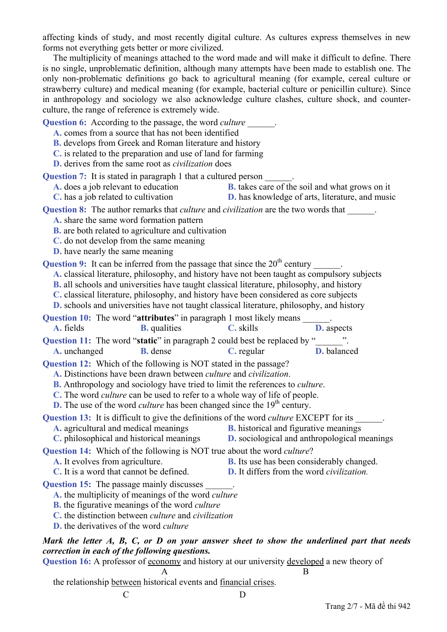affecting kinds of study, and most recently digital culture. As cultures express themselves in new forms not everything gets better or more civilized.

The multiplicity of meanings attached to the word made and will make it difficult to define. There is no single, unproblematic definition, although many attempts have been made to establish one. The only non-problematic definitions go back to agricultural meaning (for example, cereal culture or strawberry culture) and medical meaning (for example, bacterial culture or penicillin culture). Since in anthropology and sociology we also acknowledge culture clashes, culture shock, and counterculture, the range of reference is extremely wide.

**Question 6:** According to the passage, the word *culture* \_\_\_\_\_\_.

- **A.** comes from a source that has not been identified
- **B.** develops from Greek and Roman literature and history
- **C.** is related to the preparation and use of land for farming
- **D.** derives from the same root as *civilization* does

**Question 7:** It is stated in paragraph 1 that a cultured person

**A.** does a job relevant to education **B.** takes care of the soil and what grows on it

**C.** has a job related to cultivation **D.** has knowledge of arts, literature, and music

**Question 8:** The author remarks that *culture* and *civilization* are the two words that

- **A.** share the same word formation pattern
- **B.** are both related to agriculture and cultivation
- **C.** do not develop from the same meaning
- **D.** have nearly the same meaning

**Question 9:** It can be inferred from the passage that since the  $20<sup>th</sup>$  century

**A.** classical literature, philosophy, and history have not been taught as compulsory subjects

**B.** all schools and universities have taught classical literature, philosophy, and history

**C.** classical literature, philosophy, and history have been considered as core subjects

**D.** schools and universities have not taught classical literature, philosophy, and history

**Question 10:** The word "**attributes**" in paragraph 1 most likely means **A.** fields **B.** qualities **C.** skills **D.** aspects

**Question 11:** The word "**static**" in paragraph 2 could best be replaced by " **A.** unchanged **B.** dense **C.** regular **D.** balanced

**Question 12:** Which of the following is NOT stated in the passage?

**A.** Distinctions have been drawn between *culture* and *civilization*.

- **B.** Anthropology and sociology have tried to limit the references to *culture*.
- **C.** The word *culture* can be used to refer to a whole way of life of people.
- **D.** The use of the word *culture* has been changed since the 19<sup>th</sup> century.

**Question 13:** It is difficult to give the definitions of the word *culture* EXCEPT for its

- **A.** agricultural and medical meanings **B.** historical and figurative meanings
- **C.** philosophical and historical meanings **D.** sociological and anthropological meanings

**Question 14:** Which of the following is NOT true about the word *culture*?

- 
- **A.** It evolves from agriculture. **B.** Its use has been considerably changed.
- 
- **C.** It is a word that cannot be defined. **D.** It differs from the word *civilization.*

**Question 15:** The passage mainly discusses

- **A.** the multiplicity of meanings of the word *culture*
- **B.** the figurative meanings of the word *culture*
- **C.** the distinction between *culture* and *civilization*
- **D.** the derivatives of the word *culture*

#### *Mark the letter A, B, C, or D on your answer sheet to show the underlined part that needs correction in each of the following questions.*

Question 16: A professor of economy and history at our university developed a new theory of

 A B the relationship between historical events and financial crises.

C D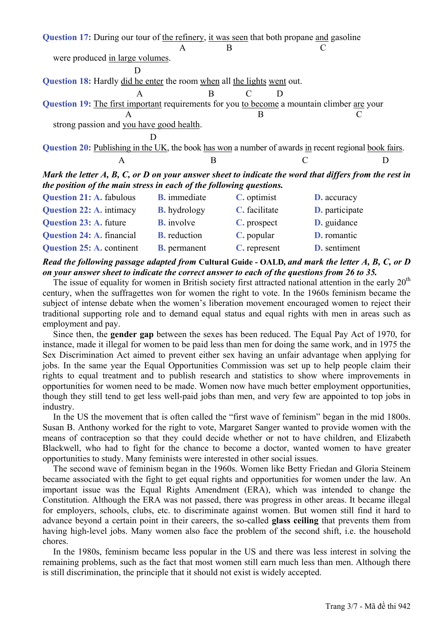| <b>Question 17:</b> During our tour of the refinery, it was seen that both propane and gasoline         |                     |               |                       |  |
|---------------------------------------------------------------------------------------------------------|---------------------|---------------|-----------------------|--|
|                                                                                                         | B<br>A              |               |                       |  |
| were produced in large volumes.                                                                         |                     |               |                       |  |
|                                                                                                         |                     |               |                       |  |
| Question 18: Hardly did he enter the room when all the lights went out.                                 |                     |               |                       |  |
| A                                                                                                       | B                   | C<br>D        |                       |  |
| Question 19: The first important requirements for you to become a mountain climber are your             |                     |               |                       |  |
| A                                                                                                       |                     | B             |                       |  |
| strong passion and you have good health.                                                                |                     |               |                       |  |
|                                                                                                         |                     |               |                       |  |
| Question 20: Publishing in the UK, the book has won a number of awards in recent regional book fairs.   |                     |               |                       |  |
| $\mathsf{A}$                                                                                            | B                   |               |                       |  |
| Mark the letter $A, B, C, or D$ on your answer sheet to indicate the word that differs from the rest in |                     |               |                       |  |
| the position of the main stress in each of the following questions.                                     |                     |               |                       |  |
| <b>Question 21: A. fabulous</b>                                                                         | <b>B.</b> immediate | C. optimist   | D. accuracy           |  |
| <b>Question 22: A. intimacy</b>                                                                         | <b>B.</b> hydrology | C. facilitate | <b>D.</b> participate |  |
| <b>Question 23: A. future</b>                                                                           | <b>B.</b> involve   | C. prospect   | D. guidance           |  |
| <b>Question 24: A. financial</b>                                                                        | <b>B.</b> reduction | C. popular    | <b>D.</b> romantic    |  |
| Question 25: A. continent                                                                               | <b>B.</b> permanent | C. represent  | <b>D.</b> sentiment   |  |

*Read the following passage adapted from* **Cultural Guide - OALD***, and mark the letter A, B, C, or D on your answer sheet to indicate the correct answer to each of the questions from 26 to 35.* 

The issue of equality for women in British society first attracted national attention in the early  $20<sup>th</sup>$ century, when the suffragettes won for women the right to vote. In the 1960s feminism became the subject of intense debate when the women's liberation movement encouraged women to reject their traditional supporting role and to demand equal status and equal rights with men in areas such as employment and pay.

Since then, the **gender gap** between the sexes has been reduced. The Equal Pay Act of 1970, for instance, made it illegal for women to be paid less than men for doing the same work, and in 1975 the Sex Discrimination Act aimed to prevent either sex having an unfair advantage when applying for jobs. In the same year the Equal Opportunities Commission was set up to help people claim their rights to equal treatment and to publish research and statistics to show where improvements in opportunities for women need to be made. Women now have much better employment opportunities, though they still tend to get less well-paid jobs than men, and very few are appointed to top jobs in industry.

In the US the movement that is often called the "first wave of feminism" began in the mid 1800s. Susan B. Anthony worked for the right to vote, Margaret Sanger wanted to provide women with the means of contraception so that they could decide whether or not to have children, and Elizabeth Blackwell, who had to fight for the chance to become a doctor, wanted women to have greater opportunities to study. Many feminists were interested in other social issues.

The second wave of feminism began in the 1960s. Women like Betty Friedan and Gloria Steinem became associated with the fight to get equal rights and opportunities for women under the law. An important issue was the Equal Rights Amendment (ERA), which was intended to change the Constitution. Although the ERA was not passed, there was progress in other areas. It became illegal for employers, schools, clubs, etc. to discriminate against women. But women still find it hard to advance beyond a certain point in their careers, the so-called **glass ceiling** that prevents them from having high-level jobs. Many women also face the problem of the second shift, i.e. the household chores.

In the 1980s, feminism became less popular in the US and there was less interest in solving the remaining problems, such as the fact that most women still earn much less than men. Although there is still discrimination, the principle that it should not exist is widely accepted.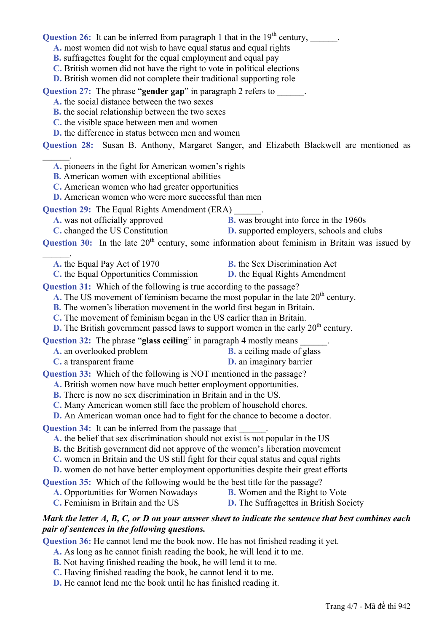**Question 26:** It can be inferred from paragraph 1 that in the  $19<sup>th</sup>$  century,

- **A.** most women did not wish to have equal status and equal rights
- **B.** suffragettes fought for the equal employment and equal pay
- **C.** British women did not have the right to vote in political elections

**D.** British women did not complete their traditional supporting role

**Question 27:** The phrase "**gender gap**" in paragraph 2 refers to

**A.** the social distance between the two sexes

**B.** the social relationship between the two sexes

- **C.** the visible space between men and women
- **D.** the difference in status between men and women

**Question 28:** Susan B. Anthony, Margaret Sanger, and Elizabeth Blackwell are mentioned as

**A.** pioneers in the fight for American women's rights

**B.** American women with exceptional abilities

 $\mathcal{L}=\mathcal{L}$ 

 $\mathcal{L}=\mathcal{L}$ 

**C.** American women who had greater opportunities

**D.** American women who were more successful than men

**Question 29:** The Equal Rights Amendment (ERA)

- **A.** was not officially approved **B.** was brought into force in the 1960s
- **C.** changed the US Constitution **D.** supported employers, schools and clubs

**Question 30:** In the late 20<sup>th</sup> century, some information about feminism in Britain was issued by

- **A.** the Equal Pay Act of 1970 **B.** the Sex Discrimination Act
- **C.** the Equal Opportunities Commission **D.** the Equal Rights Amendment

**Question 31:** Which of the following is true according to the passage?

**A.** The US movement of feminism became the most popular in the late  $20<sup>th</sup>$  century.

- **B.** The women's liberation movement in the world first began in Britain.
- **C.** The movement of feminism began in the US earlier than in Britain.

**D.** The British government passed laws to support women in the early  $20<sup>th</sup>$  century.

**Question 32:** The phrase "**glass ceiling**" in paragraph 4 mostly means

- **A.** an overlooked problem **B.** a ceiling made of glass
- **C.** a transparent frame **D.** an imaginary barrier

**Question 33:** Which of the following is NOT mentioned in the passage?

- **A.** British women now have much better employment opportunities.
- **B.** There is now no sex discrimination in Britain and in the US.
- **C.** Many American women still face the problem of household chores.
- **D.** An American woman once had to fight for the chance to become a doctor.

**Question 34:** It can be inferred from the passage that

- **A.** the belief that sex discrimination should not exist is not popular in the US
- **B.** the British government did not approve of the women's liberation movement
- **C.** women in Britain and the US still fight for their equal status and equal rights
- **D.** women do not have better employment opportunities despite their great efforts

**Question 35:** Which of the following would be the best title for the passage?

- **A.** Opportunities for Women Nowadays **B.** Women and the Right to Vote
	-
- **C.** Feminism in Britain and the US **D.** The Suffragettes in British Society

## *Mark the letter A, B, C, or D on your answer sheet to indicate the sentence that best combines each pair of sentences in the following questions.*

**Question 36:** He cannot lend me the book now. He has not finished reading it yet.

- **A.** As long as he cannot finish reading the book, he will lend it to me.
- **B.** Not having finished reading the book, he will lend it to me.
- **C.** Having finished reading the book, he cannot lend it to me.
- **D.** He cannot lend me the book until he has finished reading it.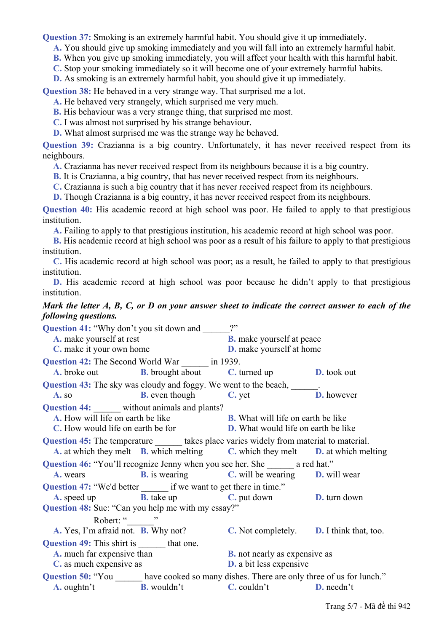**Question 37:** Smoking is an extremely harmful habit. You should give it up immediately.

**A.** You should give up smoking immediately and you will fall into an extremely harmful habit.

**B.** When you give up smoking immediately, you will affect your health with this harmful habit.

**C.** Stop your smoking immediately so it will become one of your extremely harmful habits.

**D.** As smoking is an extremely harmful habit, you should give it up immediately.

**Question 38:** He behaved in a very strange way. That surprised me a lot.

**A.** He behaved very strangely, which surprised me very much.

**B.** His behaviour was a very strange thing, that surprised me most.

**C.** I was almost not surprised by his strange behaviour.

**D.** What almost surprised me was the strange way he behaved.

**Question 39:** Crazianna is a big country. Unfortunately, it has never received respect from its neighbours.

**A.** Crazianna has never received respect from its neighbours because it is a big country.

**B.** It is Crazianna, a big country, that has never received respect from its neighbours.

**C.** Crazianna is such a big country that it has never received respect from its neighbours.

**D.** Though Crazianna is a big country, it has never received respect from its neighbours.

**Question 40:** His academic record at high school was poor. He failed to apply to that prestigious **institution** 

**A.** Failing to apply to that prestigious institution, his academic record at high school was poor.

**B.** His academic record at high school was poor as a result of his failure to apply to that prestigious institution.

**C.** His academic record at high school was poor; as a result, he failed to apply to that prestigious institution.

**D.** His academic record at high school was poor because he didn't apply to that prestigious institution.

### *Mark the letter A, B, C, or D on your answer sheet to indicate the correct answer to each of the following questions.*

|                                                                                              | Question 41: "Why don't you sit down and ______?"                                                         |                                                                     |  |  |
|----------------------------------------------------------------------------------------------|-----------------------------------------------------------------------------------------------------------|---------------------------------------------------------------------|--|--|
| A. make yourself at rest                                                                     |                                                                                                           | <b>B.</b> make yourself at peace<br><b>D.</b> make yourself at home |  |  |
| C. make it your own home                                                                     |                                                                                                           |                                                                     |  |  |
| <b>Question 42:</b> The Second World War in 1939.                                            |                                                                                                           |                                                                     |  |  |
|                                                                                              | <b>A.</b> broke out <b>B.</b> brought about <b>C.</b> turned up <b>D.</b> took out                        |                                                                     |  |  |
| Question 43: The sky was cloudy and foggy. We went to the beach, ______.                     |                                                                                                           |                                                                     |  |  |
| <b>A.</b> so                                                                                 | <b>B.</b> even though C. yet <b>D.</b> however                                                            |                                                                     |  |  |
| Question 44: without animals and plants?                                                     |                                                                                                           |                                                                     |  |  |
|                                                                                              | <b>A.</b> How will life on earth be like <b>B.</b> What will life on earth be like                        |                                                                     |  |  |
| C. How would life on earth be for <b>D.</b> What would life on earth be like                 |                                                                                                           |                                                                     |  |  |
| <b>Question 45:</b> The temperature takes place varies widely from material to material.     |                                                                                                           |                                                                     |  |  |
|                                                                                              | <b>A.</b> at which they melt <b>B.</b> which melting <b>C.</b> which they melt <b>D.</b> at which melting |                                                                     |  |  |
| Question 46: "You'll recognize Jenny when you see her. She _______ a red hat."               |                                                                                                           |                                                                     |  |  |
|                                                                                              |                                                                                                           |                                                                     |  |  |
|                                                                                              | A. wears <b>B.</b> is wearing <b>C.</b> will be wearing <b>D.</b> will wear                               |                                                                     |  |  |
| Question 47: "We'd better if we want to get there in time."                                  |                                                                                                           |                                                                     |  |  |
|                                                                                              | <b>A.</b> speed up <b>B.</b> take up <b>C.</b> put down <b>D.</b> turn down                               |                                                                     |  |  |
| <b>Question 48:</b> Sue: "Can you help me with my essay?"                                    |                                                                                                           |                                                                     |  |  |
| Robert: " "                                                                                  |                                                                                                           |                                                                     |  |  |
|                                                                                              | A. Yes, I'm afraid not. <b>B.</b> Why not? <b>C.</b> Not completely. <b>D.</b> I think that, too.         |                                                                     |  |  |
| <b>Question 49:</b> This shirt is that one.                                                  |                                                                                                           |                                                                     |  |  |
| <b>A.</b> much far expensive than                                                            |                                                                                                           | <b>B</b> , not nearly as expensive as                               |  |  |
| C. as much expensive as                                                                      |                                                                                                           | <b>D.</b> a bit less expensive                                      |  |  |
| Question 50: "You _______ have cooked so many dishes. There are only three of us for lunch." |                                                                                                           |                                                                     |  |  |
|                                                                                              | <b>A.</b> oughtn't <b>B.</b> wouldn't <b>C.</b> couldn't <b>D.</b> needn't                                |                                                                     |  |  |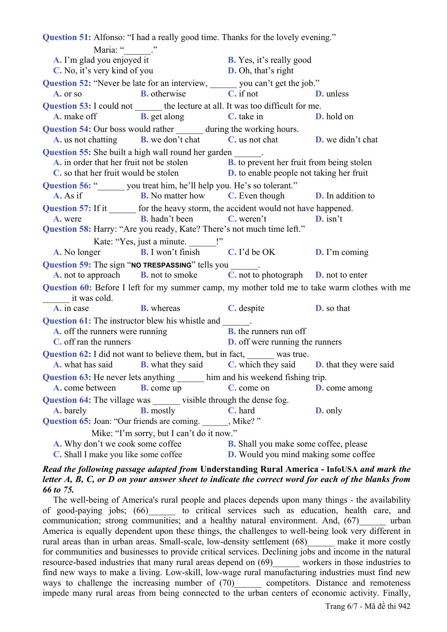**Question 51:** Alfonso: "I had a really good time. Thanks for the lovely evening." Maria: "\_\_\_\_\_\_\_" **A.** I'm glad you enjoyed it **B.** Yes, it's really good **C.** No, it's very kind of you **D.** Oh, that's right Question 52: "Never be late for an interview, we you can't get the job." **A.** or so **B.** otherwise **C.** if not **D.** unless **Question 53:** I could not the lecture at all. It was too difficult for me. **A.** make off **B.** get along **C.** take in **D.** hold on **Question 54:** Our boss would rather \_\_\_\_\_\_ during the working hours. **A.** us not chatting **B.** we don't chat **C.** us not chat **D.** we didn't chat **Question 55:** She built a high wall round her garden **A.** in order that her fruit not be stolen **B.** to prevent her fruit from being stolen **C.** so that her fruit would be stolen **D.** to enable people not taking her fruit Question 56: "\_\_\_\_\_\_ you treat him, he'll help you. He's so tolerant." **A.** As if **B.** No matter how **C.** Even though **D.** In addition to **Question 57:** If it \_\_\_\_\_\_ for the heavy storm, the accident would not have happened. **A.** were **B.** hadn't been **C.** weren't **D.** isn't **Question 58:** Harry: "Are you ready, Kate? There's not much time left." Kate: "Yes, just a minute. \_\_\_\_\_!"<br>rer **B.** I won't finish **C.** I'd be OK **A.** No longer **B.** I won't finish **C.** I'd be OK **D.** I'm coming **Question 59:** The sign "**NO TRESPASSING**" tells you **A.** not to approach **B.** not to smoke **C.** not to photograph **D.** not to enter **Question 60:** Before I left for my summer camp, my mother told me to take warm clothes with me it was cold. **A.** in case **B.** whereas **C.** despite **D.** so that **Question 61:** The instructor blew his whistle and **A.** off the runners were running **B.** the runners run off **C.** off ran the runners **D.** off were running the runners **Question 62:** I did not want to believe them, but in fact, was true. **A.** what has said **B.** what they said **C.** which they said **D.** that they were said **Question 63:** He never lets anything \_\_\_\_\_\_ him and his weekend fishing trip. **A.** come between **B.** come up **C.** come on **D.** come among **Question 64:** The village was visible through the dense fog. **A.** barely **B.** mostly **C.** hard **D.** only **Question 65:** Joan: "Our friends are coming.  $\qquad$ , Mike?" Mike: "I'm sorry, but I can't do it now." **A.** Why don't we cook some coffee **B.** Shall you make some coffee, please **C.** Shall I make you like some coffee **D.** Would you mind making some coffee

*Read the following passage adapted from* **Understanding Rural America - InfoUSA** *and mark the letter A, B, C, or D on your answer sheet to indicate the correct word for each of the blanks from 66 to 75.* 

The well-being of America's rural people and places depends upon many things - the availability of good-paying jobs; (66)\_\_\_\_\_\_ to critical services such as education, health care, and communication; strong communities; and a healthy natural environment. And, (67) urban America is equally dependent upon these things, the challenges to well-being look very different in rural areas than in urban areas. Small-scale, low-density settlement (68) make it more costly for communities and businesses to provide critical services. Declining jobs and income in the natural resource-based industries that many rural areas depend on (69) workers in those industries to find new ways to make a living. Low-skill, low-wage rural manufacturing industries must find new ways to challenge the increasing number of (70) competitors. Distance and remoteness impede many rural areas from being connected to the urban centers of economic activity. Finally,